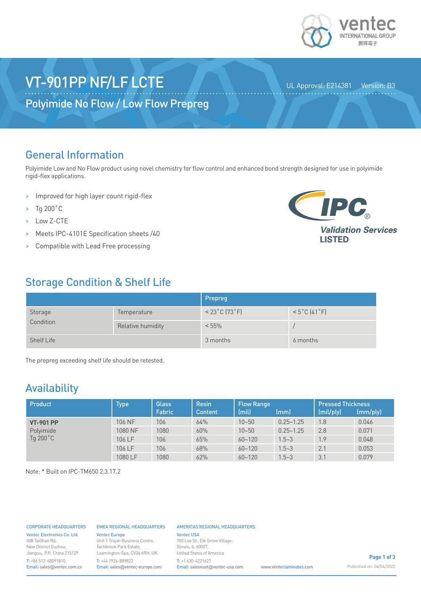

UL Approval: E214381 Version: B3

## VT-901PP NF/LF LCTE

Polyimide No Flow / Low Flow Prepreg

### General Information

Polyimide Low and No Flow product using novel chemistry for flow control and enhanced bond strength designed for use in polyimide rigid-flex applications.

- > Improved for high layer count rigid-flex
- > Tg 200˚C
- > Low Z-CTE
- > Meets IPC-4101E Specification sheets /40
- > Compatible with Lead Free processing



## Storage Condition & Shelf Life

|                      |                   | Prepreg                               |                                  |  |
|----------------------|-------------------|---------------------------------------|----------------------------------|--|
| Storage<br>Condition | Temperature       | $<$ 23 $^{\circ}$ C (73 $^{\circ}$ F) | $< 5^{\circ}$ C $(41^{\circ}$ F) |  |
|                      | Relative humidity | $< 55\%$                              |                                  |  |
| <b>Shelf Life</b>    |                   | 3 months                              | 6 months                         |  |

The prepreg exceeding shelf life should be retested.

## Availability

| Product                                   | <b>Type</b> | <b>Glass</b><br><b>Fabric</b> | <b>Resin</b><br><b>Content</b> | <b>Flow Range</b><br>(mil) | lmml          | <b>Pressed Thickness</b><br>(mil/ply) | $\frac{1}{2}$ (mm/ply) |
|-------------------------------------------|-------------|-------------------------------|--------------------------------|----------------------------|---------------|---------------------------------------|------------------------|
| <b>VT-901 PP</b><br>Polyimide<br>Tg 200°C | 106 NF      | 106                           | 64%                            | $10 - 50$                  | $0.25 - 1.25$ | 1.8                                   | 0.046                  |
|                                           | 1080 NF     | 1080                          | 60%                            | $10 - 50$                  | $0.25 - 1.25$ | 2.8                                   | 0.071                  |
|                                           | 106 LF      | 106                           | 65%                            | $60 - 120$                 | $1.5 - 3$     | 1.9                                   | 0.048                  |
|                                           | 106 LF      | 106                           | 68%                            | $60 - 120$                 | $1.5 - 3$     | 2.1                                   | 0.053                  |
|                                           | 1080 LF     | 1080                          | 62%                            | $60 - 120$                 | $1.5 - 3$     | 3.1                                   | 0.079                  |

Note: \* Built on IPC-TM650 2.3.17.2

### CORPORATE HEADQUARTERS

Ventec Electronics Co. Ltd. 308 TaiShan Rd, New District Suzhou, Jiangsu, P.R. China 215129 T: +86 512-68091810

Email: sales@ventec.com.cn

### EMEA REGIONAL HEADQUARTERS

Ventec Europe Unit 1 Trojan Business Centre, Tachbrook Park Estate, Leamington-Spa, CV34 6RH, UK T: +44 1926-889822 Email: sales@ventec-europe.com

#### AMERICAS REGIONAL HEADQUARTERS

Ventec USA 700 Lee St., Elk Grove Village, Illinois, IL 60007, United States of America T: +1 630-4221627 Email: saleseast@ventec-usa.com www.venteclaminates.com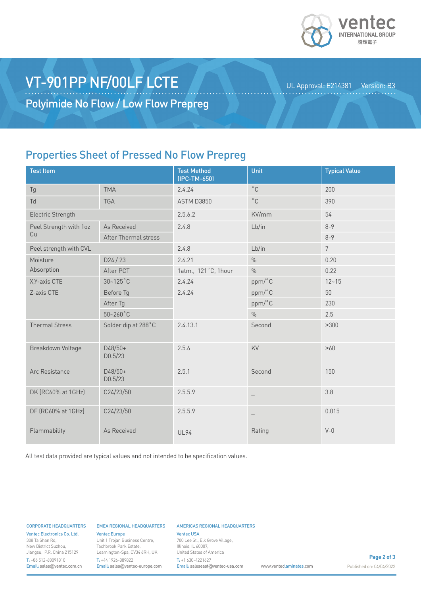

# VT-901PP NF/00LF LCTE

UL Approval: E214381 Version: B3

Polyimide No Flow / Low Flow Prepreg

## Properties Sheet of Pressed No Flow Prepreg

| <b>Test Item</b>             |                             | <b>Test Method</b><br>(IPC-TM-650) | Unit          | <b>Typical Value</b> |
|------------------------------|-----------------------------|------------------------------------|---------------|----------------------|
| Tg                           | <b>TMA</b>                  | 2.4.24                             | $^{\circ}$ C  | 200                  |
| Td                           | <b>TGA</b>                  | ASTM D3850                         | $^{\circ}$ C  | 390                  |
| Electric Strength            |                             | 2.5.6.2                            | KV/mm         | 54                   |
| Peel Strength with 1oz<br>Cu | As Received                 | 2.4.8                              | Lb/in         | $8 - 9$              |
|                              | <b>After Thermal stress</b> |                                    |               | $8 - 9$              |
| Peel strength with CVL       |                             | 2.4.8                              | Lb/in         | $\overline{7}$       |
| Moisture                     | D24/23                      | 2.6.21                             | $\frac{0}{0}$ | 0.20                 |
| Absorption                   | After PCT                   | 1atm., 121°C, 1hour                | $\frac{0}{0}$ | 0.22                 |
| X, Y-axis CTE                | $30 - 125$ °C               | 2.4.24                             | ppm/°C        | $12 - 15$            |
| Z-axis CTE                   | Before Tg                   | 2.4.24                             | ppm/°C        | 50                   |
|                              | After Tg                    |                                    | ppm/°C        | 230                  |
|                              | $50 - 260$ °C               |                                    | $\frac{0}{0}$ | 2.5                  |
| <b>Thermal Stress</b>        | Solder dip at 288°C         | 2.4.13.1                           | Second        | >300                 |
| Breakdown Voltage            | D48/50+<br>D0.5/23          | 2.5.6                              | KV            | >60                  |
| Arc Resistance               | D48/50+<br>D0.5/23          | 2.5.1                              | Second        | 150                  |
| DK (RC60% at 1GHz)           | C24/23/50                   | 2.5.5.9                            |               | 3.8                  |
| DF (RC60% at 1GHz)           | C24/23/50                   | 2.5.5.9                            | —             | 0.015                |
| Flammability                 | As Received                 | <b>UL94</b>                        | Rating        | $V - 0$              |

All test data provided are typical values and not intended to be specification values.

#### CORPORATE HEADQUARTERS EMEA REGIONAL HEADQUARTERS

Ventec Electronics Co. Ltd. 308 TaiShan Rd, New District Suzhou, Jiangsu, P.R. China 215129

T: +86 512-68091810 Email: sales@ventec.com.cn Ventec Europe Unit 1 Trojan Business Centre,

Tachbrook Park Estate, Leamington-Spa, CV34 6RH, UK T: +44 1926-889822

Email: sales@ventec-europe.com United States of America T: +1 630-4221627 Email: saleseast@ventec-usa.com www.venteclaminates.com

700 Lee St., Elk Grove Village, Illinois, IL 60007,

Ventec USA

AMERICAS REGIONAL HEADQUARTERS

**Page 2 of 3** Published on: 04/04/2022